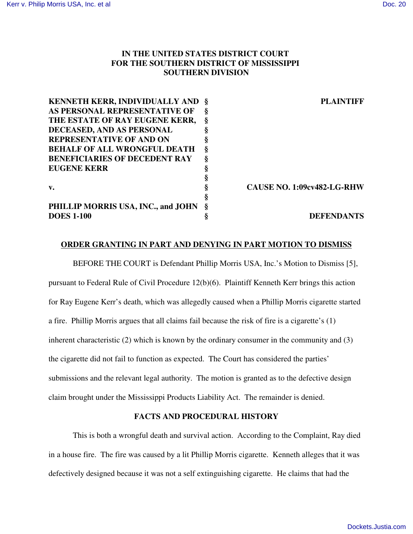# **IN THE UNITED STATES DISTRICT COURT FOR THE SOUTHERN DISTRICT OF MISSISSIPPI SOUTHERN DIVISION**

| <b>KENNETH KERR, INDIVIDUALLY AND §</b> |   | <b>PLAINTIFF</b>                  |
|-----------------------------------------|---|-----------------------------------|
| AS PERSONAL REPRESENTATIVE OF           | Š |                                   |
| THE ESTATE OF RAY EUGENE KERR,          |   |                                   |
| DECEASED, AND AS PERSONAL               |   |                                   |
| <b>REPRESENTATIVE OF AND ON</b>         |   |                                   |
| <b>BEHALF OF ALL WRONGFUL DEATH</b>     | ş |                                   |
| <b>BENEFICIARIES OF DECEDENT RAY</b>    | Š |                                   |
| <b>EUGENE KERR</b>                      |   |                                   |
|                                         |   |                                   |
| $V_{\bullet}$                           |   | <b>CAUSE NO. 1:09cv482-LG-RHW</b> |
|                                         |   |                                   |
| PHILLIP MORRIS USA, INC., and JOHN      |   |                                   |
| <b>DOES 1-100</b>                       |   | <b>DEFENDANTS</b>                 |

## **ORDER GRANTING IN PART AND DENYING IN PART MOTION TO DISMISS**

BEFORE THE COURT is Defendant Phillip Morris USA, Inc.'s Motion to Dismiss [5], pursuant to Federal Rule of Civil Procedure 12(b)(6). Plaintiff Kenneth Kerr brings this action for Ray Eugene Kerr's death, which was allegedly caused when a Phillip Morris cigarette started a fire. Phillip Morris argues that all claims fail because the risk of fire is a cigarette's (1) inherent characteristic (2) which is known by the ordinary consumer in the community and (3) the cigarette did not fail to function as expected. The Court has considered the parties' submissions and the relevant legal authority. The motion is granted as to the defective design claim brought under the Mississippi Products Liability Act. The remainder is denied.

### **FACTS AND PROCEDURAL HISTORY**

This is both a wrongful death and survival action. According to the Complaint, Ray died in a house fire. The fire was caused by a lit Phillip Morris cigarette. Kenneth alleges that it was defectively designed because it was not a self extinguishing cigarette. He claims that had the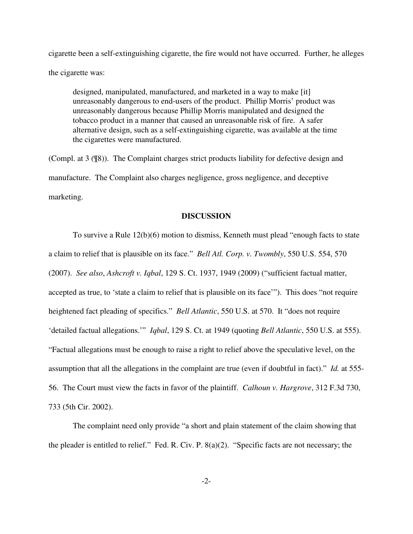cigarette been a self-extinguishing cigarette, the fire would not have occurred. Further, he alleges the cigarette was:

designed, manipulated, manufactured, and marketed in a way to make [it] unreasonably dangerous to end-users of the product. Phillip Morris' product was unreasonably dangerous because Phillip Morris manipulated and designed the tobacco product in a manner that caused an unreasonable risk of fire. A safer alternative design, such as a self-extinguishing cigarette, was available at the time the cigarettes were manufactured.

(Compl. at 3 (¶8)). The Complaint charges strict products liability for defective design and manufacture. The Complaint also charges negligence, gross negligence, and deceptive marketing.

#### **DISCUSSION**

To survive a Rule 12(b)(6) motion to dismiss, Kenneth must plead "enough facts to state a claim to relief that is plausible on its face." *Bell Atl. Corp. v. Twombly*, 550 U.S. 554, 570 (2007). *See also*, *Ashcroft v. Iqbal*, 129 S. Ct. 1937, 1949 (2009) ("sufficient factual matter, accepted as true, to 'state a claim to relief that is plausible on its face'"). This does "not require heightened fact pleading of specifics." *Bell Atlantic*, 550 U.S. at 570. It "does not require 'detailed factual allegations.'" *Iqbal*, 129 S. Ct. at 1949 (quoting *Bell Atlantic*, 550 U.S. at 555). "Factual allegations must be enough to raise a right to relief above the speculative level, on the assumption that all the allegations in the complaint are true (even if doubtful in fact)." *Id.* at 555- 56. The Court must view the facts in favor of the plaintiff. *Calhoun v. Hargrove*, 312 F.3d 730, 733 (5th Cir. 2002).

The complaint need only provide "a short and plain statement of the claim showing that the pleader is entitled to relief." Fed. R. Civ. P. 8(a)(2). "Specific facts are not necessary; the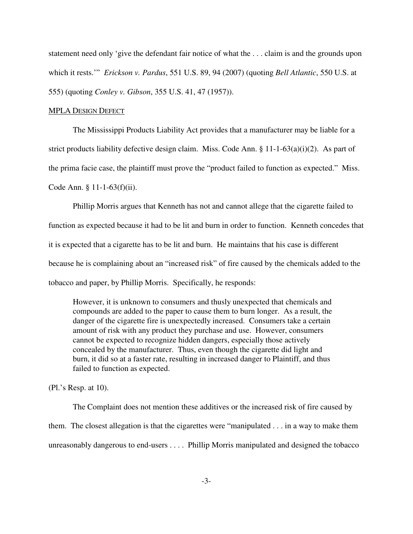statement need only 'give the defendant fair notice of what the . . . claim is and the grounds upon which it rests.'" *Erickson v. Pardus*, 551 U.S. 89, 94 (2007) (quoting *Bell Atlantic*, 550 U.S. at 555) (quoting *Conley v. Gibson*, 355 U.S. 41, 47 (1957)).

#### MPLA DESIGN DEFECT

The Mississippi Products Liability Act provides that a manufacturer may be liable for a strict products liability defective design claim. Miss. Code Ann.  $\S 11-1-63(a)(i)(2)$ . As part of the prima facie case, the plaintiff must prove the "product failed to function as expected." Miss. Code Ann. § 11-1-63(f)(ii).

Phillip Morris argues that Kenneth has not and cannot allege that the cigarette failed to function as expected because it had to be lit and burn in order to function. Kenneth concedes that it is expected that a cigarette has to be lit and burn. He maintains that his case is different because he is complaining about an "increased risk" of fire caused by the chemicals added to the tobacco and paper, by Phillip Morris. Specifically, he responds:

However, it is unknown to consumers and thusly unexpected that chemicals and compounds are added to the paper to cause them to burn longer. As a result, the danger of the cigarette fire is unexpectedly increased. Consumers take a certain amount of risk with any product they purchase and use. However, consumers cannot be expected to recognize hidden dangers, especially those actively concealed by the manufacturer. Thus, even though the cigarette did light and burn, it did so at a faster rate, resulting in increased danger to Plaintiff, and thus failed to function as expected.

(Pl.'s Resp. at 10).

The Complaint does not mention these additives or the increased risk of fire caused by them. The closest allegation is that the cigarettes were "manipulated . . . in a way to make them unreasonably dangerous to end-users . . . . Phillip Morris manipulated and designed the tobacco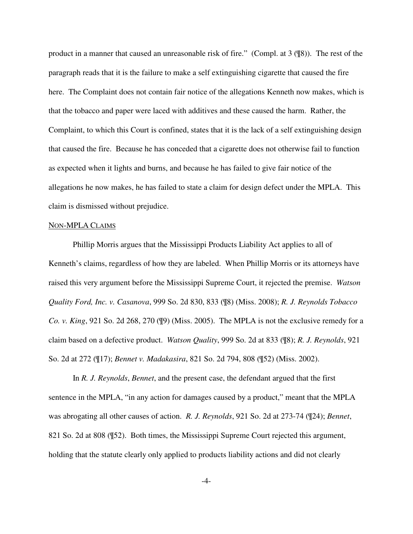product in a manner that caused an unreasonable risk of fire." (Compl. at 3 (¶8)). The rest of the paragraph reads that it is the failure to make a self extinguishing cigarette that caused the fire here. The Complaint does not contain fair notice of the allegations Kenneth now makes, which is that the tobacco and paper were laced with additives and these caused the harm. Rather, the Complaint, to which this Court is confined, states that it is the lack of a self extinguishing design that caused the fire. Because he has conceded that a cigarette does not otherwise fail to function as expected when it lights and burns, and because he has failed to give fair notice of the allegations he now makes, he has failed to state a claim for design defect under the MPLA. This claim is dismissed without prejudice.

#### NON-MPLA CLAIMS

Phillip Morris argues that the Mississippi Products Liability Act applies to all of Kenneth's claims, regardless of how they are labeled. When Phillip Morris or its attorneys have raised this very argument before the Mississippi Supreme Court, it rejected the premise. *Watson Quality Ford, Inc. v. Casanova*, 999 So. 2d 830, 833 (¶8) (Miss. 2008); *R. J. Reynolds Tobacco Co. v. King*, 921 So. 2d 268, 270 (¶9) (Miss. 2005). The MPLA is not the exclusive remedy for a claim based on a defective product. *Watson Quality*, 999 So. 2d at 833 (¶8); *R. J. Reynolds*, 921 So. 2d at 272 (¶17); *Bennet v. Madakasira*, 821 So. 2d 794, 808 (¶52) (Miss. 2002).

In *R. J. Reynolds*, *Bennet*, and the present case, the defendant argued that the first sentence in the MPLA, "in any action for damages caused by a product," meant that the MPLA was abrogating all other causes of action. *R. J. Reynolds*, 921 So. 2d at 273-74 (¶24); *Bennet*, 821 So. 2d at 808 (¶52). Both times, the Mississippi Supreme Court rejected this argument, holding that the statute clearly only applied to products liability actions and did not clearly

-4-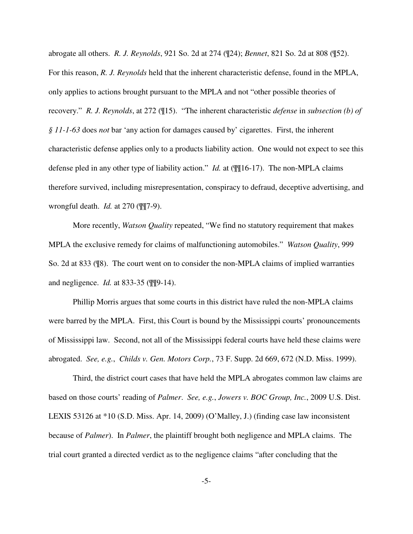abrogate all others. *R. J. Reynolds*, 921 So. 2d at 274 (¶24); *Bennet*, 821 So. 2d at 808 (¶52). For this reason, *R. J. Reynolds* held that the inherent characteristic defense, found in the MPLA, only applies to actions brought pursuant to the MPLA and not "other possible theories of recovery." *R. J. Reynolds*, at 272 (¶15). "The inherent characteristic *defense* in *subsection (b) of § 11-1-63* does *not* bar 'any action for damages caused by' cigarettes. First, the inherent characteristic defense applies only to a products liability action. One would not expect to see this defense pled in any other type of liability action." *Id.* at (¶¶16-17). The non-MPLA claims therefore survived, including misrepresentation, conspiracy to defraud, deceptive advertising, and wrongful death. *Id.* at 270 (¶¶7-9).

More recently, *Watson Quality* repeated, "We find no statutory requirement that makes MPLA the exclusive remedy for claims of malfunctioning automobiles." *Watson Quality*, 999 So. 2d at 833 (¶8). The court went on to consider the non-MPLA claims of implied warranties and negligence. *Id.* at 833-35 (¶¶9-14).

Phillip Morris argues that some courts in this district have ruled the non-MPLA claims were barred by the MPLA. First, this Court is bound by the Mississippi courts' pronouncements of Mississippi law. Second, not all of the Mississippi federal courts have held these claims were abrogated. *See, e.g.*, *Childs v. Gen. Motors Corp.*, 73 F. Supp. 2d 669, 672 (N.D. Miss. 1999).

Third, the district court cases that have held the MPLA abrogates common law claims are based on those courts' reading of *Palmer*. *See, e.g.*, *Jowers v. BOC Group, Inc.*, 2009 U.S. Dist. LEXIS 53126 at \*10 (S.D. Miss. Apr. 14, 2009) (O'Malley, J.) (finding case law inconsistent because of *Palmer*). In *Palmer*, the plaintiff brought both negligence and MPLA claims. The trial court granted a directed verdict as to the negligence claims "after concluding that the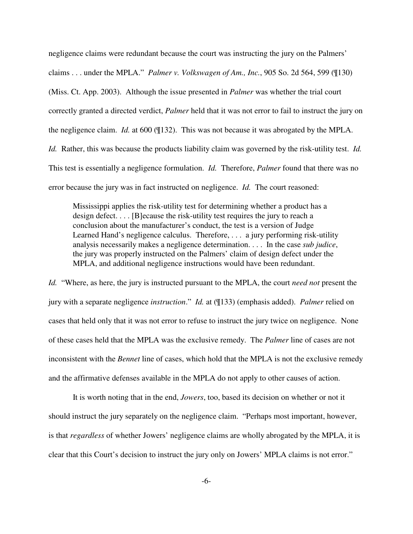negligence claims were redundant because the court was instructing the jury on the Palmers' claims . . . under the MPLA." *Palmer v. Volkswagen of Am., Inc.*, 905 So. 2d 564, 599 (¶130) (Miss. Ct. App. 2003). Although the issue presented in *Palmer* was whether the trial court correctly granted a directed verdict, *Palmer* held that it was not error to fail to instruct the jury on the negligence claim. *Id.* at 600 (¶132). This was not because it was abrogated by the MPLA. *Id.* Rather, this was because the products liability claim was governed by the risk-utility test. *Id.* This test is essentially a negligence formulation. *Id.* Therefore, *Palmer* found that there was no error because the jury was in fact instructed on negligence. *Id.* The court reasoned:

Mississippi applies the risk-utility test for determining whether a product has a design defect. . . . [B]ecause the risk-utility test requires the jury to reach a conclusion about the manufacturer's conduct, the test is a version of Judge Learned Hand's negligence calculus. Therefore, . . . a jury performing risk-utility analysis necessarily makes a negligence determination. . . . In the case *sub judice*, the jury was properly instructed on the Palmers' claim of design defect under the MPLA, and additional negligence instructions would have been redundant.

*Id.* "Where, as here, the jury is instructed pursuant to the MPLA, the court *need not* present the jury with a separate negligence *instruction*." *Id.* at (¶133) (emphasis added). *Palmer* relied on cases that held only that it was not error to refuse to instruct the jury twice on negligence. None of these cases held that the MPLA was the exclusive remedy. The *Palmer* line of cases are not inconsistent with the *Bennet* line of cases, which hold that the MPLA is not the exclusive remedy and the affirmative defenses available in the MPLA do not apply to other causes of action.

It is worth noting that in the end, *Jowers*, too, based its decision on whether or not it should instruct the jury separately on the negligence claim. "Perhaps most important, however, is that *regardless* of whether Jowers' negligence claims are wholly abrogated by the MPLA, it is clear that this Court's decision to instruct the jury only on Jowers' MPLA claims is not error."